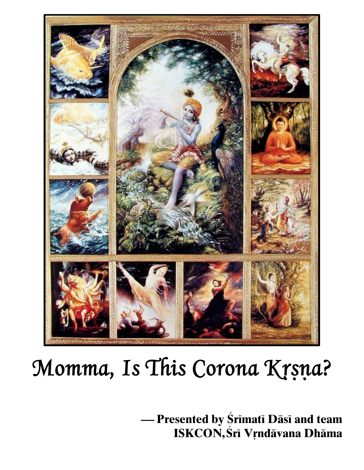

## Momma, Is This Corona Krsna?

— Presented by Srimati Dāsi and team **ISKCON, Śrī Vŗndāvana Dhāma**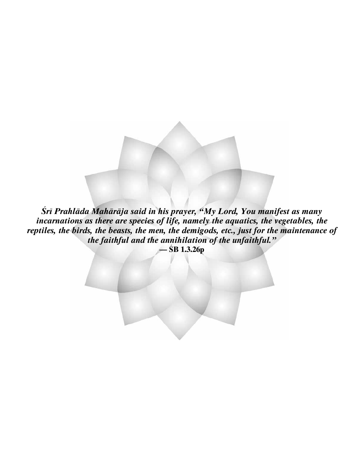Śrī Prahlāda Mahārāja said in his prayer, "My Lord, You manifest as many incarnations as there are species of life, namely the aquatics, the vegetables, the reptiles, the birds, the beasts, the men, the demigods, etc., just for the maintenance of the faithful and the annihilation of the unfaithful."  $-\hat{S}B$  1.3.26p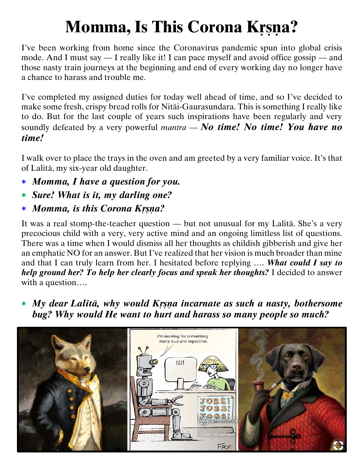## **Momma, Is This Corona Krsna?**

I've been working from home since the Coronavirus pandemic spun into global crisis mode. And I must say — I really like it! I can pace myself and avoid office gossip — and those nasty train journeys at the beginning and end of every working day no longer have a chance to harass and trouble me.

I've completed my assigned duties for today well ahead of time, and so I've decided to make some fresh, crispy bread rolls for Nitäi-Gaurasundara. This is something I really like to do. But for the last couple of years such inspirations have been regularly and very soundly defeated by a very powerful *mantra* — *No time! No time! You have no time!*

I walk over to place the trays in the oven and am greeted by a very familiar voice. It's that of Lalitä, my six-year old daughter.

- *Momma, I have a question for you.*
- *Sure! What is it, my darling one?*
- **\*** *Momma, is this Corona Krsna?*

It was a real stomp-the-teacher question — but not unusual for my Lalitä. She's a very precocious child with a very, very active mind and an ongoing limitless list of questions. There was a time when I would dismiss all her thoughts as childish gibberish and give her an emphatic NO for an answer. But I've realized that her vision is much broader than mine and that I can truly learn from her. I hesitated before replying …. *What could I say to help ground her? To help her clearly focus and speak her thoughts?* I decided to answer with a question….

 *My dear Lalitä, why would Kåñëa incarnate as such a nasty, bothersome bug? Why would He want to hurt and harass so many people so much?*

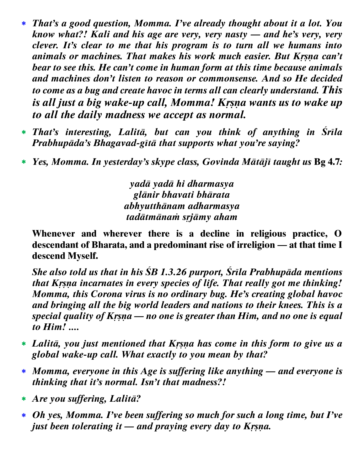- *That's a good question, Momma. I've already thought about it a lot. You know what?! Kali and his age are very, very nasty — and he's very, very clever. It's clear to me that his program is to turn all we humans into dimals or machines. That makes his work much easier. But Krsna can't bear to see this. He can't come in human form at this time because animals and machines don't listen to reason or commonsense. And so He decided to come as a bug and create havoc in terms all can clearly understand. This is all just a big wake-up call, Momma! Kr§ña wants us to wake up to all the daily madness we accept as normal.*
- *That's interesting, Lalitä, but can you think of anything in Çréla Prabhupäda's Bhagavad-gétä that supports what you're saying?*
- *Yes, Momma. In yesterday's skype class, Govinda Mätäjé taught us* **Bg 4.7***:*

*yadä yadä hi dharmasya glänir bhavati bhärata abhyutthänam adharmasya tadätmänaà såjämy aham*

**Whenever and wherever there is a decline in religious practice, O descendant of Bharata, and a predominant rise of irreligion — at that time I descend Myself.**

*She also told us that in his ÇB 1.3.26 purport, Çréla Prabhupäda mentions that Krsna incarnates in every species of life. That really got me thinking! Momma, this Corona virus is no ordinary bug. He's creating global havoc and bringing all the big world leaders and nations to their knees. This is a special quality of Krsna — no one is greater than Him, and no one is equal to Him! ....*

- *Lalitä, you just mentioned that Kåñëa has come in this form to give us a global wake-up call. What exactly to you mean by that?*
- *Momma, everyone in this Age is suffering like anything — and everyone is thinking that it's normal. Isn't that madness?!*
- *Are you suffering, Lalitä?*
- *Oh yes, Momma. I've been suffering so much for such a long time, but I've just been tolerating it — and praying every day to Krsna.*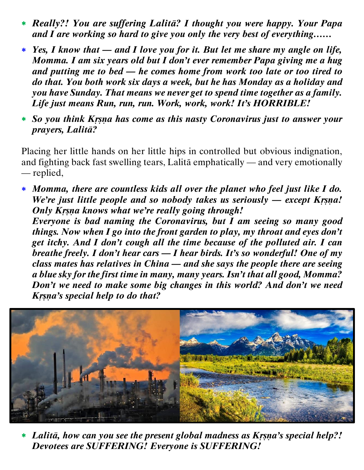- *Really?! You are suffering Lalitä? I thought you were happy. Your Papa and I are working so hard to give you only the very best of everything……*
- *Yes, I know that — and I love you for it. But let me share my angle on life, Momma. I am six years old but I don't ever remember Papa giving me a hug and putting me to bed — he comes home from work too late or too tired to do that. You both work six days a week, but he has Monday as a holiday and you have Sunday. That means we never get to spend time together as a family. Life just means Run, run, run. Work, work, work! It's HORRIBLE!*
- *So you think Kåñëa has come as this nasty Coronavirus just to answer your prayers, Lalitä?*

Placing her little hands on her little hips in controlled but obvious indignation, and fighting back fast swelling tears, Lalitä emphatically — and very emotionally — replied,

 *Momma, there are countless kids all over the planet who feel just like I do. We're just little people and so nobody takes us seriously — except Krsna! Only Krsna knows what we're really going through!* 

*Everyone is bad naming the Coronavirus, but I am seeing so many good things. Now when I go into the front garden to play, my throat and eyes don't get itchy. And I don't cough all the time because of the polluted air. I can breathe freely. I don't hear cars — I hear birds. It's so wonderful! One of my class mates has relatives in China — and she says the people there are seeing a blue sky for the first time in many, many years. Isn't that all good, Momma? Don't we need to make some big changes in this world? And don't we need Krsna's special help to do that?* 



\* Lalitā, how can you see the present global madness as Krsna's special help?! *Devotees are SUFFERING! Everyone is SUFFERING!*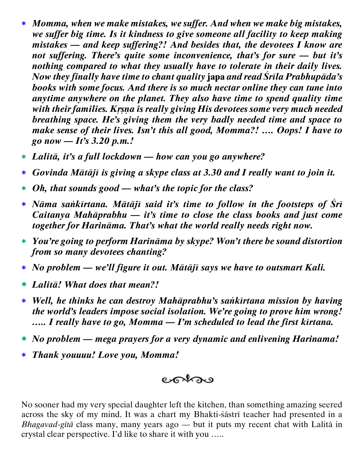- *Momma, when we make mistakes, we suffer. And when we make big mistakes, we suffer big time. Is it kindness to give someone all facility to keep making mistakes — and keep suffering?! And besides that, the devotees I know are not suffering. There's quite some inconvenience, that's for sure — but it's nothing compared to what they usually have to tolerate in their daily lives. Now they finally have time to chant quality* **japa** *and read Çréla Prabhupäda's books with some focus. And there is so much nectar online they can tune into anytime anywhere on the planet. They also have time to spend quality time with their families. Krsna is really giving His devotees some very much needed breathing space. He's giving them the very badly needed time and space to make sense of their lives. Isn't this all good, Momma?! …. Oops! I have to go now — It's 3.20 p.m.!*
- *Lalitä, it's a full lockdown — how can you go anywhere?*
- *Govinda Mätäjé is giving a skype class at 3.30 and I really want to join it.*
- *Oh, that sounds good — what's the topic for the class?*
- *Näma saìkértana. Mätäjé said it's time to follow in the footsteps of Çré Caitanya Mahäprabhu — it's time to close the class books and just come together for Harinäma. That's what the world really needs right now.*
- *You're going to perform Harinäma by skype? Won't there be sound distortion from so many devotees chanting?*
- *No problem — we'll figure it out. Mätäjé says we have to outsmart Kali.*
- *Lalitä! What does that mean?!*
- *Well, he thinks he can destroy Mahäprabhu's saìkértana mission by having the world's leaders impose social isolation. We're going to prove him wrong! ….. I really have to go, Momma — I'm scheduled to lead the first kirtana.*
- *No problem — mega prayers for a very dynamic and enlivening Harinama!*
- *Thank youuuu! Love you, Momma!*



No sooner had my very special daughter left the kitchen, than something amazing seered across the sky of my mind. It was a chart my Bhakti-sastri teacher had presented in a *Bhagavad-gétä* class many, many years ago — but it puts my recent chat with Lalitä in crystal clear perspective. I'd like to share it with you …..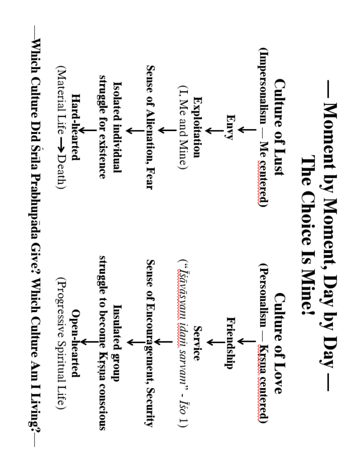